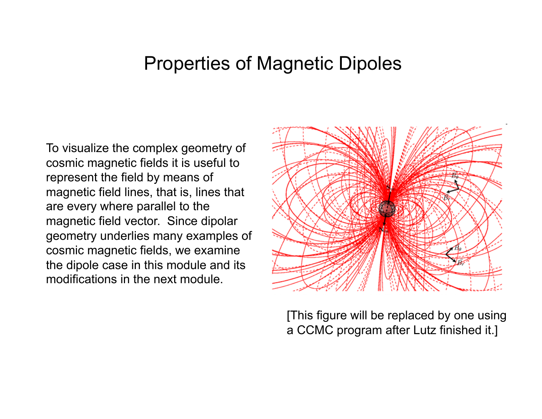# Properties of Magnetic Dipoles

To visualize the complex geometry of cosmic magnetic fields it is useful to represent the field by means of magnetic field lines, that is, lines that are every where parallel to the magnetic field vector. Since dipolar geometry underlies many examples of cosmic magnetic fields, we examine the dipole case in this module and its modifications in the next module.



[This figure will be replaced by one using a CCMC program after Lutz finished it.]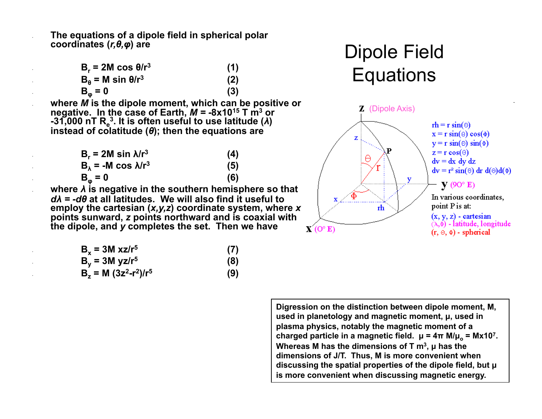• **The equations of a dipole field in spherical polar coordinates (***r,θ,φ***) are** 

| $B_r = 2M \cos \theta/r^3$ | (1) |
|----------------------------|-----|
| $B_a = M \sin \theta/r^3$  | (2) |
| $B_{\omega} = 0$           | (3) |

• **where** *M* **is the dipole moment, which can be positive or negative. In the case of Earth,** *M = -***8x1015 T m3 or -31,000 nT Re 3. It is often useful to use latitude (***λ***) instead of colatitude (***θ***); then the equations are** 

| $B_r = 2M \sin \lambda/r^3$          | (4) |
|--------------------------------------|-----|
| $B_{\lambda}$ = -M cos $\lambda/r^3$ | (5) |
| $B_{\omega} = 0$                     | (6) |

• **where** *λ* **is negative in the southern hemisphere so that**  *dλ = -dθ* **at all latitudes. We will also find it useful to employ the cartesian (***x,y,z***) coordinate system, where** *x* **points sunward,** *z* **points northward and is coaxial with the dipole, and** *y* **completes the set. Then we have** 

| $B_v = 3M xz/r^5$            | (7) |
|------------------------------|-----|
| $B_v = 3M$ yz/r <sup>5</sup> | (8) |
| $B_7 = M (3z^2-r^2)/r^5$     | (9) |

Dipole Field **Equations** 



**Digression on the distinction between dipole moment, M, used in planetology and magnetic moment, µ, used in plasma physics, notably the magnetic moment of a charged particle in a magnetic field.**  $μ = 4π M/μ<sub>o</sub> = Mx10<sup>7</sup>$ **. Whereas M has the dimensions of T m3, µ has the dimensions of J/T. Thus, M is more convenient when discussing the spatial properties of the dipole field, but µ is more convenient when discussing magnetic energy.**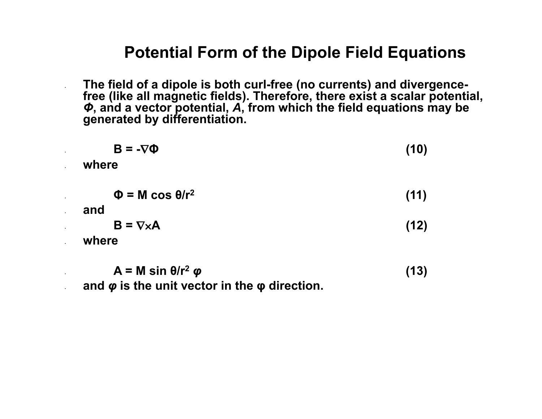#### **Potential Form of the Dipole Field Equations**

• **The field of a dipole is both curl-free (no currents) and divergencefree (like all magnetic fields). Therefore, there exist a scalar potential,**  *Φ***, and a vector potential,** *A***, from which the field equations may be generated by differentiation.** 

| $B = -\nabla \Phi$                                                  | (10)         |
|---------------------------------------------------------------------|--------------|
| where                                                               |              |
| $\Phi = M \cos \theta/r^2$<br>and<br>$B = \nabla \times A$<br>where | (11)<br>(12) |
|                                                                     |              |

 $A = M \sin \theta/r^2 \varphi$  (13) • **and** *φ* **is the unit vector in the φ direction.**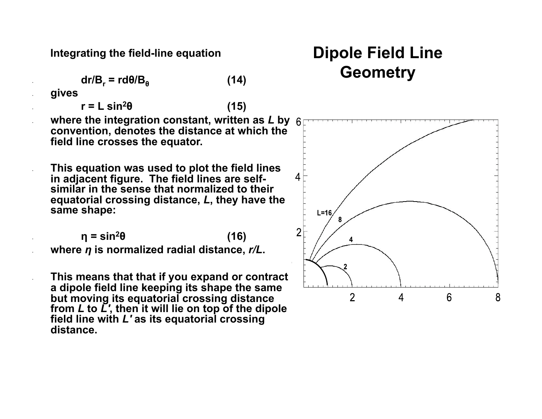**Integrating the field-line equation** 

$$
dr/B_r = rd\theta/B_\theta \qquad (14)
$$

• **gives** 

 $r = L \sin^2\theta$  (15)

• **where the integration constant, written as** *L* **by convention, denotes the distance at which the field line crosses the equator.** 

• **This equation was used to plot the field lines in adjacent figure. The field lines are selfsimilar in the sense that normalized to their equatorial crossing distance,** *L***, they have the same shape:** 

 $\eta = \sin^2\theta$  (16) • **where** *η* **is normalized radial distance,** *r/L***.** 

• **This means that that if you expand or contract a dipole field line keeping its shape the same but moving its equatorial crossing distance from** *L* **to** *L'***, then it will lie on top of the dipole field line with** *L'* **as its equatorial crossing distance.**

## **Dipole Field Line Geometry**

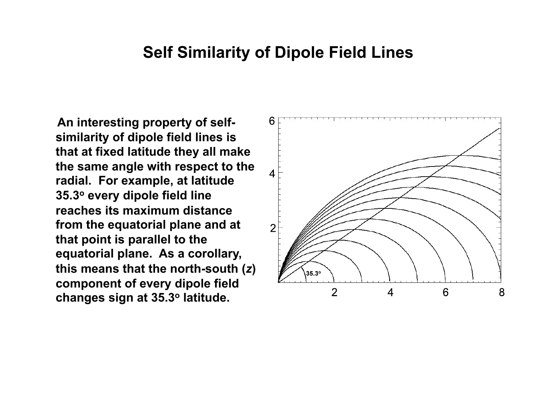#### **Self Similarity of Dipole Field Lines**

 **An interesting property of selfsimilarity of dipole field lines is that at fixed latitude they all make the same angle with respect to the radial. For example, at latitude 35.3o every dipole field line reaches its maximum distance from the equatorial plane and at that point is parallel to the equatorial plane. As a corollary, this means that the north-south (***z***) component of every dipole field changes sign at 35.3o latitude.** 

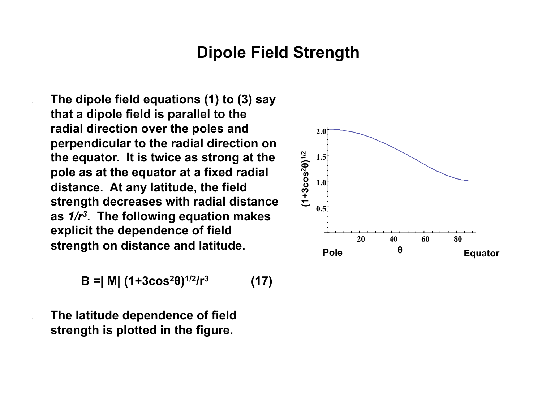### **Dipole Field Strength**

• **The dipole field equations (1) to (3) say that a dipole field is parallel to the radial direction over the poles and perpendicular to the radial direction on the equator. It is twice as strong at the pole as at the equator at a fixed radial distance. At any latitude, the field strength decreases with radial distance as** *1/r3***. The following equation makes explicit the dependence of field strength on distance and latitude.** 

$$
B = |M| (1+3\cos^2\theta)^{1/2}/r^3 \qquad (17)
$$

• **The latitude dependence of field strength is plotted in the figure.** 

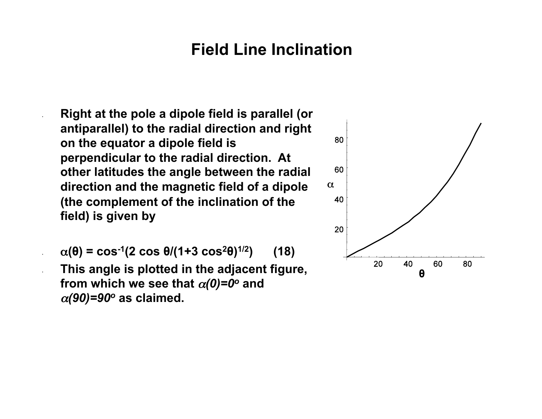### **Field Line Inclination**

• **Right at the pole a dipole field is parallel (or antiparallel) to the radial direction and right on the equator a dipole field is perpendicular to the radial direction. At other latitudes the angle between the radial direction and the magnetic field of a dipole (the complement of the inclination of the field) is given by** 

 $\alpha(\theta) = \cos^{-1}(2 \cos \theta/(1+3 \cos^2 \theta)^{1/2})$  (18) • **This angle is plotted in the adjacent figure, from which we see that**  $\alpha(0)=0^\circ$  **and** <sup>α</sup>*(90)=90o* **as claimed.** 

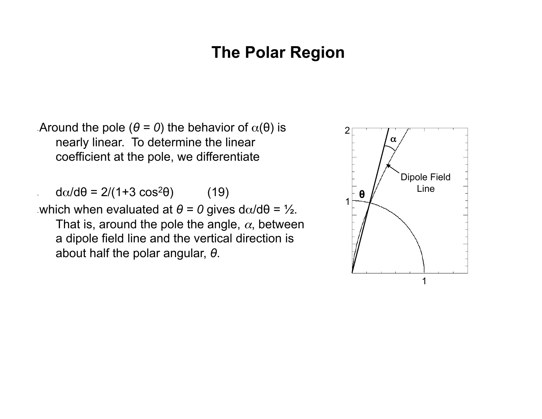### **The Polar Region**

Around the pole  $(θ = 0)$  the behavior of  $α(θ)$  is nearly linear. To determine the linear coefficient at the pole, we differentiate

 $d\alpha/d\theta = 2/(1+3 \cos^2\theta)$  (19)

which when evaluated at  $θ = 0$  gives dα/d $θ = ½$ . That is, around the pole the angle,  $\alpha$ , between a dipole field line and the vertical direction is about half the polar angular, *θ*.